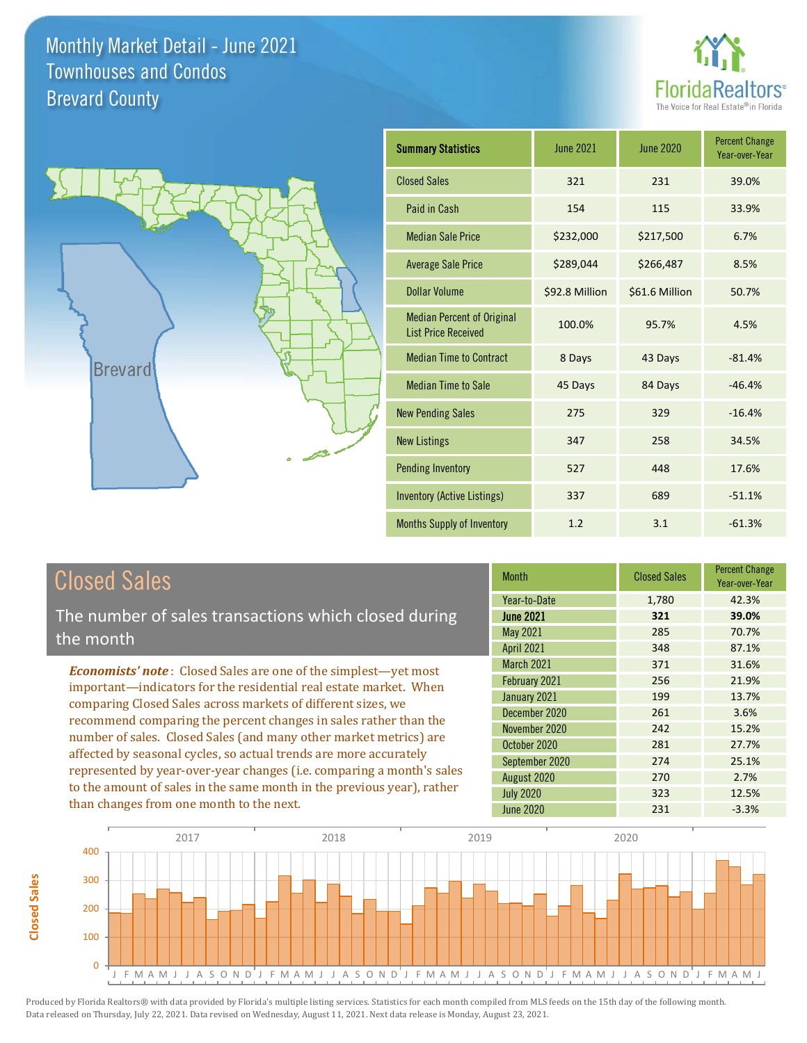



| <b>Summary Statistics</b>                                       | <b>June 2021</b> | June 2020      | <b>Percent Change</b><br>Year-over-Year |
|-----------------------------------------------------------------|------------------|----------------|-----------------------------------------|
| <b>Closed Sales</b>                                             | 321              | 231            | 39.0%                                   |
| Paid in Cash                                                    | 154              | 115            | 33.9%                                   |
| <b>Median Sale Price</b>                                        | \$232,000        | \$217,500      | 6.7%                                    |
| <b>Average Sale Price</b>                                       | \$289,044        | \$266,487      | 8.5%                                    |
| Dollar Volume                                                   | \$92.8 Million   | \$61.6 Million | 50.7%                                   |
| <b>Median Percent of Original</b><br><b>List Price Received</b> | 100.0%           | 95.7%          | 4.5%                                    |
| <b>Median Time to Contract</b>                                  | 8 Days           | 43 Days        | $-81.4%$                                |
| <b>Median Time to Sale</b>                                      | 45 Days          | 84 Days        | $-46.4%$                                |
| <b>New Pending Sales</b>                                        | 275              | 329            | $-16.4%$                                |
| <b>New Listings</b>                                             | 347              | 258            | 34.5%                                   |
| <b>Pending Inventory</b>                                        | 527              | 448            | 17.6%                                   |
| Inventory (Active Listings)                                     | 337              | 689            | $-51.1%$                                |
| <b>Months Supply of Inventory</b>                               | 1.2              | 3.1            | $-61.3%$                                |

## Closed Sales

The number of sales transactions which closed during the month

*Economists' note* : Closed Sales are one of the simplest—yet most important—indicators for the residential real estate market. When comparing Closed Sales across markets of different sizes, we recommend comparing the percent changes in sales rather than the number of sales. Closed Sales (and many other market metrics) are affected by seasonal cycles, so actual trends are more accurately represented by year-over-year changes (i.e. comparing a month's sales to the amount of sales in the same month in the previous year), rather than changes from one month to the next.

| <b>Month</b>      | <b>Closed Sales</b> | <b>Percent Change</b><br>Year-over-Year |
|-------------------|---------------------|-----------------------------------------|
| Year-to-Date      | 1,780               | 42.3%                                   |
| <b>June 2021</b>  | 321                 | 39.0%                                   |
| <b>May 2021</b>   | 285                 | 70.7%                                   |
| <b>April 2021</b> | 348                 | 87.1%                                   |
| March 2021        | 371                 | 31.6%                                   |
| February 2021     | 256                 | 21.9%                                   |
| January 2021      | 199                 | 13.7%                                   |
| December 2020     | 261                 | 3.6%                                    |
| November 2020     | 242                 | 15.2%                                   |
| October 2020      | 281                 | 27.7%                                   |
| September 2020    | 274                 | 25.1%                                   |
| August 2020       | 270                 | 2.7%                                    |
| <b>July 2020</b>  | 323                 | 12.5%                                   |
| <b>June 2020</b>  | 231                 | $-3.3%$                                 |

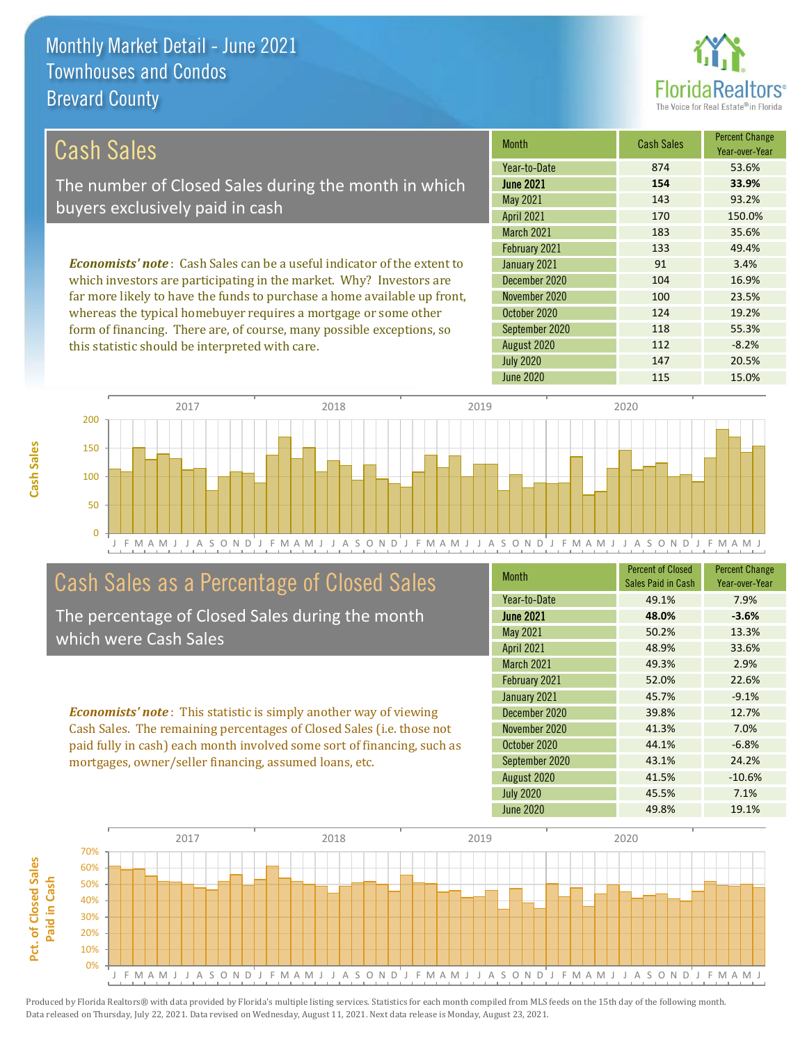

| Cash Sales                                                                     | <b>Month</b>      | <b>Cash Sales</b> | <b>Percent Change</b><br>Year-over-Year |
|--------------------------------------------------------------------------------|-------------------|-------------------|-----------------------------------------|
|                                                                                | Year-to-Date      | 874               | 53.6%                                   |
| The number of Closed Sales during the month in which                           | <b>June 2021</b>  | 154               | 33.9%                                   |
| buyers exclusively paid in cash                                                | May 2021          | 143               | 93.2%                                   |
|                                                                                | <b>April 2021</b> | 170               | 150.0%                                  |
|                                                                                | <b>March 2021</b> | 183               | 35.6%                                   |
|                                                                                | February 2021     | 133               | 49.4%                                   |
| <b>Economists' note:</b> Cash Sales can be a useful indicator of the extent to | January 2021      | 91                | 3.4%                                    |
| which investors are participating in the market. Why? Investors are            | December 2020     | 104               | 16.9%                                   |
| far more likely to have the funds to purchase a home available up front,       | November 2020     | 100               | 23.5%                                   |

whereas the typical homebuyer requires a mortgage or some other form of financing. There are, of course, many possible exceptions, so this statistic should be interpreted with care.

| <b>IVIOHHH</b>    | GASIL SAICS | Year-over-Year |
|-------------------|-------------|----------------|
| Year-to-Date      | 874         | 53.6%          |
| <b>June 2021</b>  | 154         | 33.9%          |
| May 2021          | 143         | 93.2%          |
| <b>April 2021</b> | 170         | 150.0%         |
| March 2021        | 183         | 35.6%          |
| February 2021     | 133         | 49.4%          |
| January 2021      | 91          | 3.4%           |
| December 2020     | 104         | 16.9%          |
| November 2020     | 100         | 23.5%          |
| October 2020      | 124         | 19.2%          |
| September 2020    | 118         | 55.3%          |
| August 2020       | 112         | $-8.2%$        |
| <b>July 2020</b>  | 147         | 20.5%          |
| <b>June 2020</b>  | 115         | 15.0%          |



## Cash Sales as a Percentage of Closed Sales

The percentage of Closed Sales during the month which were Cash Sales

*Economists' note* : This statistic is simply another way of viewing Cash Sales. The remaining percentages of Closed Sales (i.e. those not paid fully in cash) each month involved some sort of financing, such as mortgages, owner/seller financing, assumed loans, etc.

| <b>Month</b>      | <b>Percent of Closed</b><br>Sales Paid in Cash | <b>Percent Change</b><br>Year-over-Year |
|-------------------|------------------------------------------------|-----------------------------------------|
| Year-to-Date      | 49.1%                                          | 7.9%                                    |
| <b>June 2021</b>  | 48.0%                                          | $-3.6%$                                 |
| <b>May 2021</b>   | 50.2%                                          | 13.3%                                   |
| <b>April 2021</b> | 48.9%                                          | 33.6%                                   |
| <b>March 2021</b> | 49.3%                                          | 2.9%                                    |
| February 2021     | 52.0%                                          | 22.6%                                   |
| January 2021      | 45.7%                                          | $-9.1%$                                 |
| December 2020     | 39.8%                                          | 12.7%                                   |
| November 2020     | 41.3%                                          | 7.0%                                    |
| October 2020      | 44.1%                                          | $-6.8%$                                 |
| September 2020    | 43.1%                                          | 24.2%                                   |
| August 2020       | 41.5%                                          | $-10.6%$                                |
| <b>July 2020</b>  | 45.5%                                          | 7.1%                                    |
| June 2020         | 49.8%                                          | 19.1%                                   |

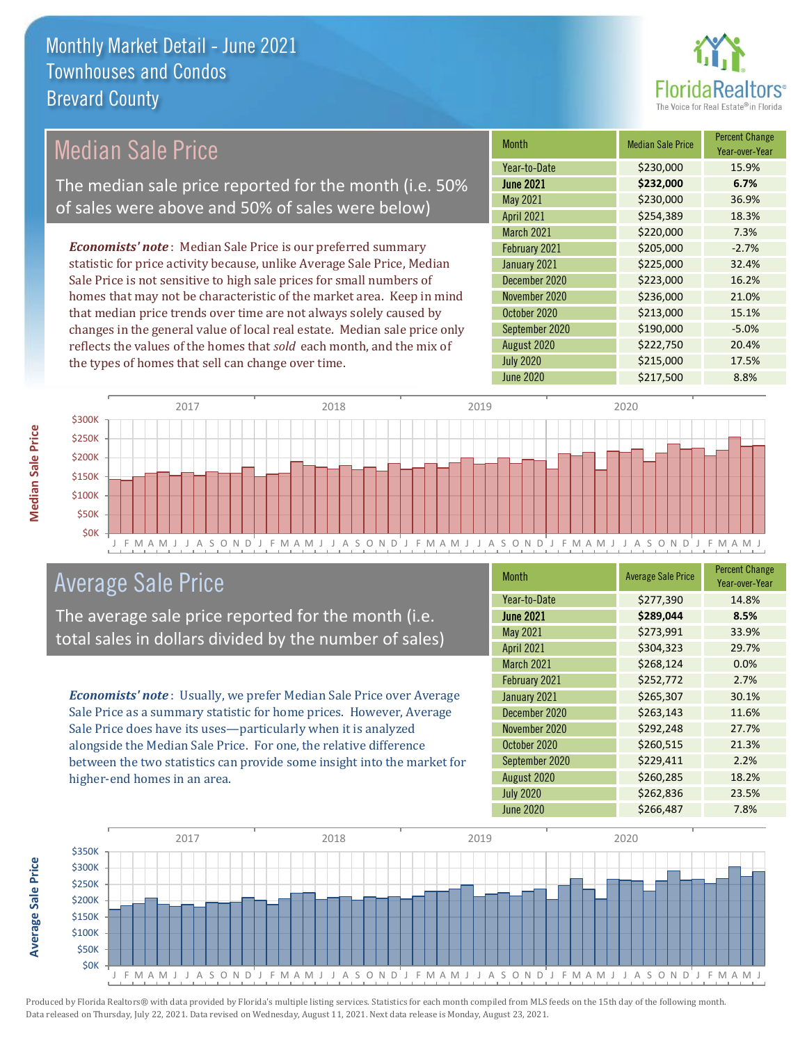

## Median Sale Price

The median sale price reported for the month (i.e. 50% of sales were above and 50% of sales were below)

*Economists' note* : Median Sale Price is our preferred summary statistic for price activity because, unlike Average Sale Price, Median Sale Price is not sensitive to high sale prices for small numbers of homes that may not be characteristic of the market area. Keep in mind that median price trends over time are not always solely caused by changes in the general value of local real estate. Median sale price only reflects the values of the homes that *sold* each month, and the mix of the types of homes that sell can change over time.

| <b>Month</b>      | <b>Median Sale Price</b> | <b>Percent Change</b><br>Year-over-Year |
|-------------------|--------------------------|-----------------------------------------|
| Year-to-Date      | \$230,000                | 15.9%                                   |
| <b>June 2021</b>  | \$232,000                | 6.7%                                    |
| May 2021          | \$230,000                | 36.9%                                   |
| <b>April 2021</b> | \$254,389                | 18.3%                                   |
| March 2021        | \$220,000                | 7.3%                                    |
| February 2021     | \$205,000                | $-2.7%$                                 |
| January 2021      | \$225,000                | 32.4%                                   |
| December 2020     | \$223,000                | 16.2%                                   |
| November 2020     | \$236,000                | 21.0%                                   |
| October 2020      | \$213,000                | 15.1%                                   |
| September 2020    | \$190,000                | $-5.0%$                                 |
| August 2020       | \$222,750                | 20.4%                                   |
| <b>July 2020</b>  | \$215,000                | 17.5%                                   |
| <b>June 2020</b>  | \$217,500                | 8.8%                                    |



### Average Sale Price

The average sale price reported for the month (i.e. total sales in dollars divided by the number of sales)

*Economists' note* : Usually, we prefer Median Sale Price over Average Sale Price as a summary statistic for home prices. However, Average Sale Price does have its uses—particularly when it is analyzed alongside the Median Sale Price. For one, the relative difference between the two statistics can provide some insight into the market for higher-end homes in an area.

| <b>Month</b>      | <b>Average Sale Price</b> | <b>Percent Change</b><br>Year-over-Year |
|-------------------|---------------------------|-----------------------------------------|
| Year-to-Date      | \$277,390                 | 14.8%                                   |
| <b>June 2021</b>  | \$289,044                 | 8.5%                                    |
| <b>May 2021</b>   | \$273,991                 | 33.9%                                   |
| <b>April 2021</b> | \$304,323                 | 29.7%                                   |
| <b>March 2021</b> | \$268,124                 | 0.0%                                    |
| February 2021     | \$252,772                 | 2.7%                                    |
| January 2021      | \$265,307                 | 30.1%                                   |
| December 2020     | \$263,143                 | 11.6%                                   |
| November 2020     | \$292,248                 | 27.7%                                   |
| October 2020      | \$260,515                 | 21.3%                                   |
| September 2020    | \$229,411                 | 2.2%                                    |
| August 2020       | \$260,285                 | 18.2%                                   |
| <b>July 2020</b>  | \$262,836                 | 23.5%                                   |
| <b>June 2020</b>  | \$266,487                 | 7.8%                                    |



Produced by Florida Realtors® with data provided by Florida's multiple listing services. Statistics for each month compiled from MLS feeds on the 15th day of the following month. Data released on Thursday, July 22, 2021. Data revised on Wednesday, August 11, 2021. Next data release is Monday, August 23, 2021.

**Average Sale Price**

**Average Sale Price**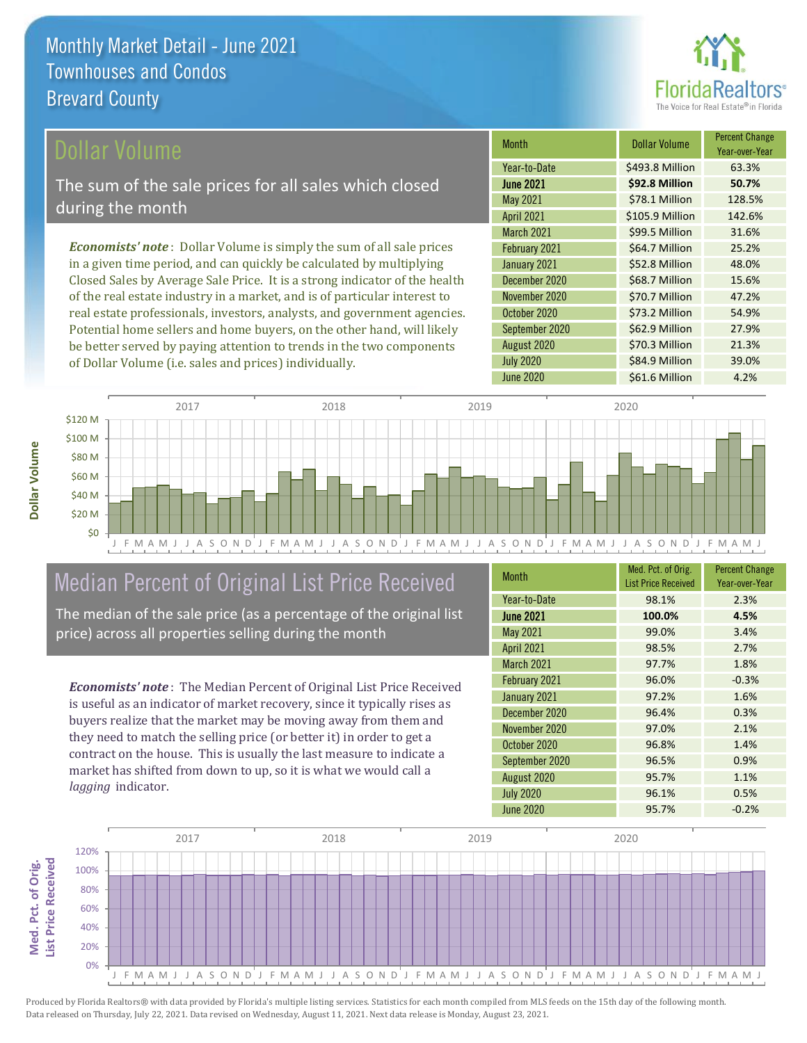

#### ollar Volume

The sum of the sale prices for all sales which closed during the month

*Economists' note* : Dollar Volume is simply the sum of all sale prices in a given time period, and can quickly be calculated by multiplying Closed Sales by Average Sale Price. It is a strong indicator of the health of the real estate industry in a market, and is of particular interest to real estate professionals, investors, analysts, and government agencies. Potential home sellers and home buyers, on the other hand, will likely be better served by paying attention to trends in the two components of Dollar Volume (i.e. sales and prices) individually.

| <b>Month</b>      | Dollar Volume   | <b>Percent Change</b><br>Year-over-Year |
|-------------------|-----------------|-----------------------------------------|
| Year-to-Date      | \$493.8 Million | 63.3%                                   |
| <b>June 2021</b>  | \$92.8 Million  | 50.7%                                   |
| May 2021          | \$78.1 Million  | 128.5%                                  |
| <b>April 2021</b> | \$105.9 Million | 142.6%                                  |
| <b>March 2021</b> | \$99.5 Million  | 31.6%                                   |
| February 2021     | \$64.7 Million  | 25.2%                                   |
| January 2021      | \$52.8 Million  | 48.0%                                   |
| December 2020     | \$68.7 Million  | 15.6%                                   |
| November 2020     | \$70.7 Million  | 47.2%                                   |
| October 2020      | \$73.2 Million  | 54.9%                                   |
| September 2020    | \$62.9 Million  | 27.9%                                   |
| August 2020       | \$70.3 Million  | 21.3%                                   |
| <b>July 2020</b>  | \$84.9 Million  | 39.0%                                   |
| June 2020         | \$61.6 Million  | 4.2%                                    |



## Median Percent of Original List Price Received

The median of the sale price (as a percentage of the original list price) across all properties selling during the month

*Economists' note* : The Median Percent of Original List Price Received is useful as an indicator of market recovery, since it typically rises as buyers realize that the market may be moving away from them and they need to match the selling price (or better it) in order to get a contract on the house. This is usually the last measure to indicate a market has shifted from down to up, so it is what we would call a *lagging* indicator.

| <b>Month</b>      | Med. Pct. of Orig.<br><b>List Price Received</b> | <b>Percent Change</b><br>Year-over-Year |
|-------------------|--------------------------------------------------|-----------------------------------------|
| Year-to-Date      | 98.1%                                            | 2.3%                                    |
| <b>June 2021</b>  | 100.0%                                           | 4.5%                                    |
| <b>May 2021</b>   | 99.0%                                            | 3.4%                                    |
| <b>April 2021</b> | 98.5%                                            | 2.7%                                    |
| <b>March 2021</b> | 97.7%                                            | 1.8%                                    |
| February 2021     | 96.0%                                            | $-0.3%$                                 |
| January 2021      | 97.2%                                            | 1.6%                                    |
| December 2020     | 96.4%                                            | 0.3%                                    |
| November 2020     | 97.0%                                            | 2.1%                                    |
| October 2020      | 96.8%                                            | 1.4%                                    |
| September 2020    | 96.5%                                            | 0.9%                                    |
| August 2020       | 95.7%                                            | 1.1%                                    |
| <b>July 2020</b>  | 96.1%                                            | 0.5%                                    |
| June 2020         | 95.7%                                            | $-0.2%$                                 |

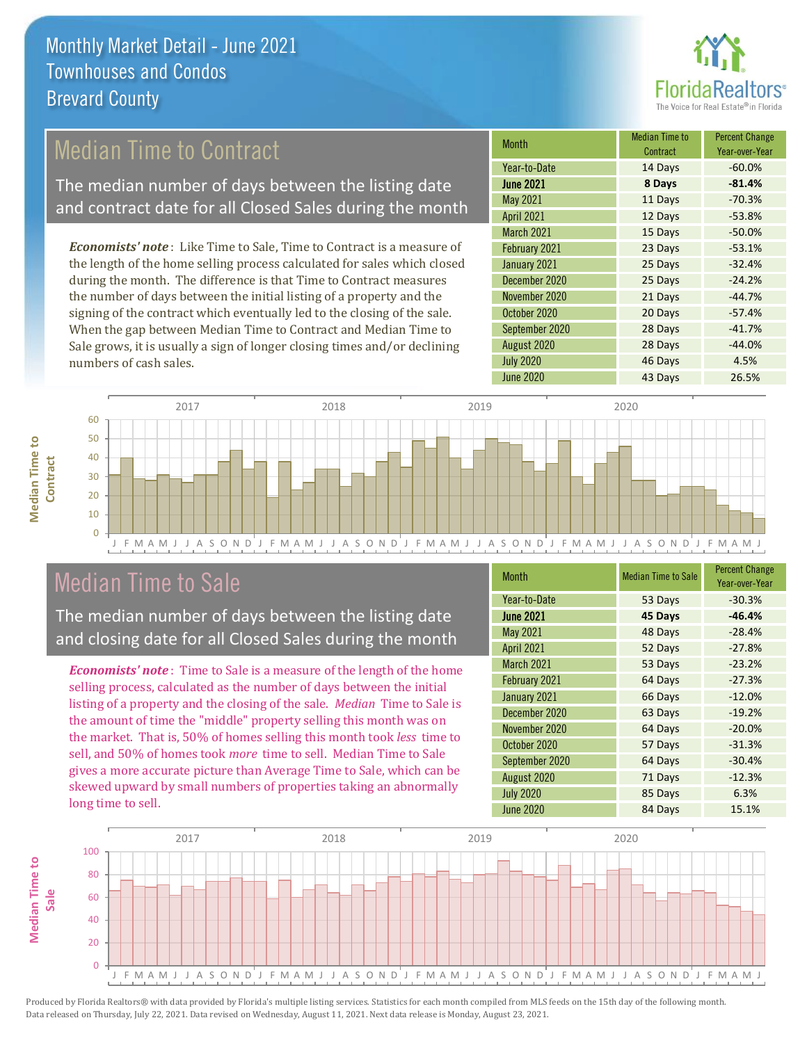

## Median Time to Contract

The median number of days between the listing date and contract date for all Closed Sales during the month

*Economists' note* : Like Time to Sale, Time to Contract is a measure of the length of the home selling process calculated for sales which closed during the month. The difference is that Time to Contract measures the number of days between the initial listing of a property and the signing of the contract which eventually led to the closing of the sale. When the gap between Median Time to Contract and Median Time to Sale grows, it is usually a sign of longer closing times and/or declining numbers of cash sales.

| Month             | <b>Median Time to</b><br>Contract | <b>Percent Change</b><br>Year-over-Year |
|-------------------|-----------------------------------|-----------------------------------------|
| Year-to-Date      | 14 Days                           | $-60.0%$                                |
| <b>June 2021</b>  | 8 Days                            | $-81.4%$                                |
| May 2021          | 11 Days                           | $-70.3%$                                |
| <b>April 2021</b> | 12 Days                           | $-53.8%$                                |
| <b>March 2021</b> | 15 Days                           | $-50.0%$                                |
| February 2021     | 23 Days                           | $-53.1%$                                |
| January 2021      | 25 Days                           | $-32.4%$                                |
| December 2020     | 25 Days                           | $-24.2%$                                |
| November 2020     | 21 Days                           | $-44.7%$                                |
| October 2020      | 20 Days                           | $-57.4%$                                |
| September 2020    | 28 Days                           | $-41.7%$                                |
| August 2020       | 28 Days                           | $-44.0%$                                |
| <b>July 2020</b>  | 46 Days                           | 4.5%                                    |
| <b>June 2020</b>  | 43 Days                           | 26.5%                                   |



### Median Time to Sale

**Median Time to Contract**

**Median Time to** 

The median number of days between the listing date and closing date for all Closed Sales during the month

*Economists' note* : Time to Sale is a measure of the length of the home selling process, calculated as the number of days between the initial listing of a property and the closing of the sale. *Median* Time to Sale is the amount of time the "middle" property selling this month was on the market. That is, 50% of homes selling this month took *less* time to sell, and 50% of homes took *more* time to sell. Median Time to Sale gives a more accurate picture than Average Time to Sale, which can be skewed upward by small numbers of properties taking an abnormally long time to sell.

| <b>Month</b>      | <b>Median Time to Sale</b> | <b>Percent Change</b><br>Year-over-Year |
|-------------------|----------------------------|-----------------------------------------|
| Year-to-Date      | 53 Days                    | $-30.3%$                                |
| <b>June 2021</b>  | 45 Days                    | $-46.4%$                                |
| <b>May 2021</b>   | 48 Days                    | $-28.4%$                                |
| <b>April 2021</b> | 52 Days                    | $-27.8%$                                |
| <b>March 2021</b> | 53 Days                    | $-23.2%$                                |
| February 2021     | 64 Days                    | $-27.3%$                                |
| January 2021      | 66 Days                    | $-12.0%$                                |
| December 2020     | 63 Days                    | $-19.2%$                                |
| November 2020     | 64 Days                    | $-20.0%$                                |
| October 2020      | 57 Days                    | $-31.3%$                                |
| September 2020    | 64 Days                    | $-30.4%$                                |
| August 2020       | 71 Days                    | $-12.3%$                                |
| <b>July 2020</b>  | 85 Days                    | 6.3%                                    |
| <b>June 2020</b>  | 84 Days                    | 15.1%                                   |

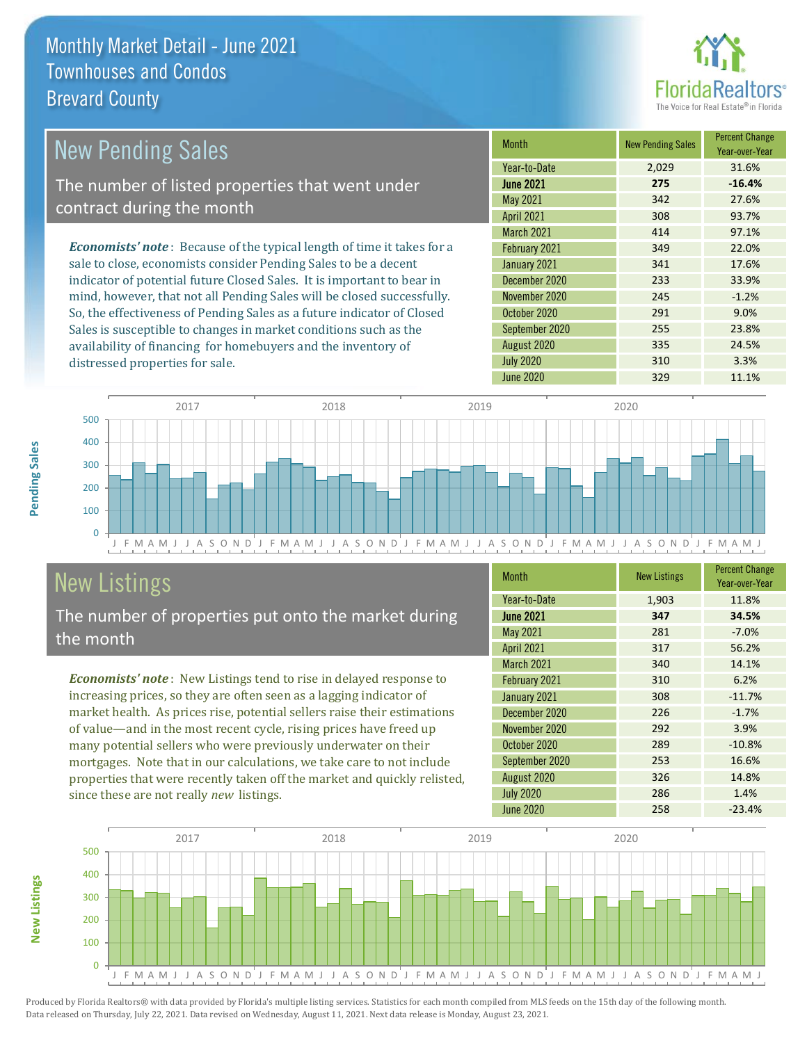distressed properties for sale.



| <b>New Pending Sales</b>                                                       | <b>Month</b>      | <b>New Pending Sales</b> | <b>Percent Change</b><br>Year-over-Year |
|--------------------------------------------------------------------------------|-------------------|--------------------------|-----------------------------------------|
|                                                                                | Year-to-Date      | 2.029                    | 31.6%                                   |
| The number of listed properties that went under                                | <b>June 2021</b>  | 275                      | $-16.4%$                                |
| contract during the month                                                      | May 2021          | 342                      | 27.6%                                   |
|                                                                                | <b>April 2021</b> | 308                      | 93.7%                                   |
|                                                                                | <b>March 2021</b> | 414                      | 97.1%                                   |
| <b>Economists' note</b> : Because of the typical length of time it takes for a | February 2021     | 349                      | 22.0%                                   |
| sale to close, economists consider Pending Sales to be a decent                | January 2021      | 341                      | 17.6%                                   |
| indicator of potential future Closed Sales. It is important to bear in         | December 2020     | 233                      | 33.9%                                   |
| mind, however, that not all Pending Sales will be closed successfully.         | November 2020     | 245                      | $-1.2%$                                 |
| So, the effectiveness of Pending Sales as a future indicator of Closed         | October 2020      | 291                      | 9.0%                                    |
| Sales is susceptible to changes in market conditions such as the               | September 2020    | 255                      | 23.8%                                   |



## New Listings

The number of properties put onto the market during the month

availability of financing for homebuyers and the inventory of

*Economists' note* : New Listings tend to rise in delayed response to increasing prices, so they are often seen as a lagging indicator of market health. As prices rise, potential sellers raise their estimations of value—and in the most recent cycle, rising prices have freed up many potential sellers who were previously underwater on their mortgages. Note that in our calculations, we take care to not include properties that were recently taken off the market and quickly relisted, since these are not really *new* listings.

| <b>Month</b>      | <b>New Listings</b> | <b>Percent Change</b><br>Year-over-Year |
|-------------------|---------------------|-----------------------------------------|
| Year-to-Date      | 1,903               | 11.8%                                   |
| <b>June 2021</b>  | 347                 | 34.5%                                   |
| <b>May 2021</b>   | 281                 | $-7.0%$                                 |
| <b>April 2021</b> | 317                 | 56.2%                                   |
| <b>March 2021</b> | 340                 | 14.1%                                   |
| February 2021     | 310                 | 6.2%                                    |
| January 2021      | 308                 | $-11.7%$                                |
| December 2020     | 226                 | $-1.7%$                                 |
| November 2020     | 292                 | 3.9%                                    |
| October 2020      | 289                 | $-10.8%$                                |
| September 2020    | 253                 | 16.6%                                   |
| August 2020       | 326                 | 14.8%                                   |
| <b>July 2020</b>  | 286                 | 1.4%                                    |
| June 2020         | 258                 | $-23.4%$                                |

August 2020 335 24.5% July 2020 310 3.3% June 2020 329 329 11.1%



**New Listings**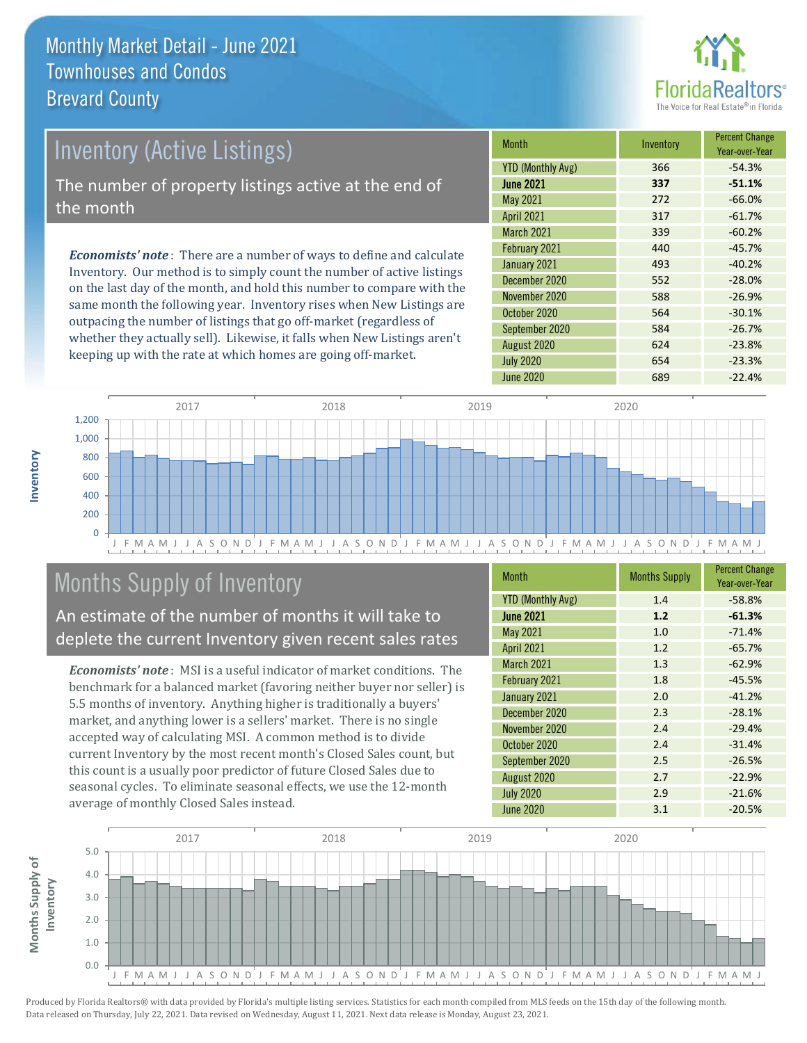

# Inventory (Active Listings)

The number of property listings active at the end of the month

*Economists' note* : There are a number of ways to define and calculate Inventory. Our method is to simply count the number of active listings on the last day of the month, and hold this number to compare with the same month the following year. Inventory rises when New Listings are outpacing the number of listings that go off-market (regardless of whether they actually sell). Likewise, it falls when New Listings aren't keeping up with the rate at which homes are going off-market.

| <b>Month</b>             | Inventory | <b>Percent Change</b><br>Year-over-Year |
|--------------------------|-----------|-----------------------------------------|
| <b>YTD (Monthly Avg)</b> | 366       | $-54.3%$                                |
| <b>June 2021</b>         | 337       | $-51.1%$                                |
| May 2021                 | 272       | $-66.0%$                                |
| <b>April 2021</b>        | 317       | $-61.7%$                                |
| <b>March 2021</b>        | 339       | $-60.2%$                                |
| February 2021            | 440       | $-45.7%$                                |
| January 2021             | 493       | $-40.2%$                                |
| December 2020            | 552       | $-28.0%$                                |
| November 2020            | 588       | $-26.9%$                                |
| October 2020             | 564       | $-30.1%$                                |
| September 2020           | 584       | $-26.7%$                                |
| August 2020              | 624       | $-23.8%$                                |
| <b>July 2020</b>         | 654       | $-23.3%$                                |
| June 2020                | 689       | $-22.4%$                                |



## Months Supply of Inventory

An estimate of the number of months it will take to deplete the current Inventory given recent sales rates

*Economists' note* : MSI is a useful indicator of market conditions. The benchmark for a balanced market (favoring neither buyer nor seller) is 5.5 months of inventory. Anything higher is traditionally a buyers' market, and anything lower is a sellers' market. There is no single accepted way of calculating MSI. A common method is to divide current Inventory by the most recent month's Closed Sales count, but this count is a usually poor predictor of future Closed Sales due to seasonal cycles. To eliminate seasonal effects, we use the 12-month average of monthly Closed Sales instead.

| <b>Month</b>             | <b>Months Supply</b> | <b>Percent Change</b><br>Year-over-Year |
|--------------------------|----------------------|-----------------------------------------|
| <b>YTD (Monthly Avg)</b> | 1.4                  | $-58.8%$                                |
| <b>June 2021</b>         | 1.2                  | $-61.3%$                                |
| May 2021                 | 1.0                  | $-71.4%$                                |
| <b>April 2021</b>        | 1.2                  | $-65.7%$                                |
| <b>March 2021</b>        | 1.3                  | $-62.9%$                                |
| February 2021            | 1.8                  | $-45.5%$                                |
| January 2021             | 2.0                  | $-41.2%$                                |
| December 2020            | 2.3                  | $-28.1%$                                |
| November 2020            | 2.4                  | $-29.4%$                                |
| October 2020             | 2.4                  | $-31.4%$                                |
| September 2020           | 2.5                  | $-26.5%$                                |
| August 2020              | 2.7                  | $-22.9%$                                |
| <b>July 2020</b>         | 2.9                  | $-21.6%$                                |
| June 2020                | 3.1                  | $-20.5%$                                |

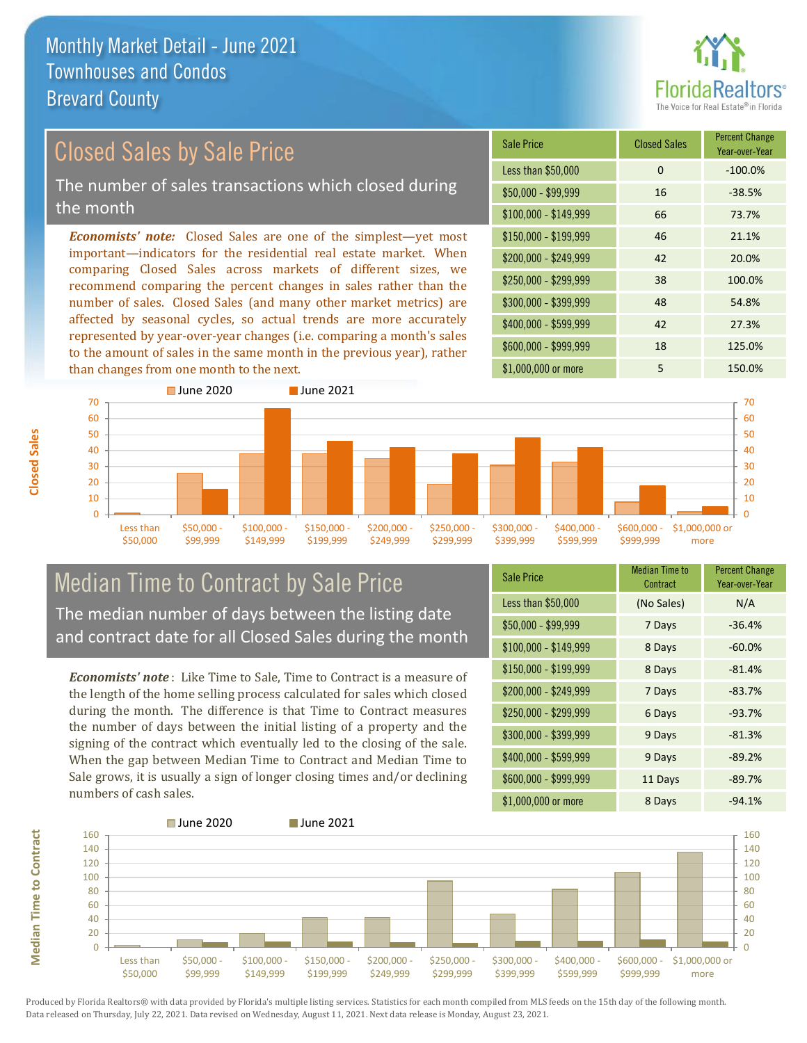

# Closed Sales by Sale Price

The number of sales transactions which closed during the month

*Economists' note:* Closed Sales are one of the simplest—yet most important—indicators for the residential real estate market. When comparing Closed Sales across markets of different sizes, we recommend comparing the percent changes in sales rather than the number of sales. Closed Sales (and many other market metrics) are affected by seasonal cycles, so actual trends are more accurately represented by year-over-year changes (i.e. comparing a month's sales to the amount of sales in the same month in the previous year), rather than changes from one month to the next.

| <b>Sale Price</b>     | <b>Closed Sales</b> | <b>Percent Change</b><br>Year-over-Year |
|-----------------------|---------------------|-----------------------------------------|
| Less than \$50,000    | 0                   | $-100.0%$                               |
| $$50,000 - $99,999$   | 16                  | $-38.5%$                                |
| $$100,000 - $149,999$ | 66                  | 73.7%                                   |
| $$150,000 - $199,999$ | 46                  | 21.1%                                   |
| \$200,000 - \$249,999 | 42                  | 20.0%                                   |
| \$250,000 - \$299,999 | 38                  | 100.0%                                  |
| \$300,000 - \$399,999 | 48                  | 54.8%                                   |
| \$400,000 - \$599,999 | 42                  | 27.3%                                   |
| \$600,000 - \$999,999 | 18                  | 125.0%                                  |
| \$1,000,000 or more   | 5                   | 150.0%                                  |



#### Median Time to Contract by Sale Price The median number of days between the listing date and contract date for all Closed Sales during the month

*Economists' note* : Like Time to Sale, Time to Contract is a measure of the length of the home selling process calculated for sales which closed during the month. The difference is that Time to Contract measures the number of days between the initial listing of a property and the signing of the contract which eventually led to the closing of the sale. When the gap between Median Time to Contract and Median Time to Sale grows, it is usually a sign of longer closing times and/or declining numbers of cash sales.

| <b>Sale Price</b>     | Median Time to<br>Contract | <b>Percent Change</b><br>Year-over-Year |
|-----------------------|----------------------------|-----------------------------------------|
| Less than \$50,000    | (No Sales)                 | N/A                                     |
| $$50,000 - $99,999$   | 7 Days                     | $-36.4%$                                |
| $$100,000 - $149,999$ | 8 Days                     | $-60.0%$                                |
| $$150,000 - $199,999$ | 8 Days                     | $-81.4%$                                |
| \$200,000 - \$249,999 | 7 Days                     | $-83.7%$                                |
| \$250,000 - \$299,999 | 6 Days                     | $-93.7%$                                |
| \$300,000 - \$399,999 | 9 Days                     | $-81.3%$                                |
| \$400,000 - \$599,999 | 9 Days                     | $-89.2%$                                |
| \$600,000 - \$999,999 | 11 Days                    | $-89.7%$                                |
| \$1,000,000 or more   | 8 Days                     | $-94.1%$                                |

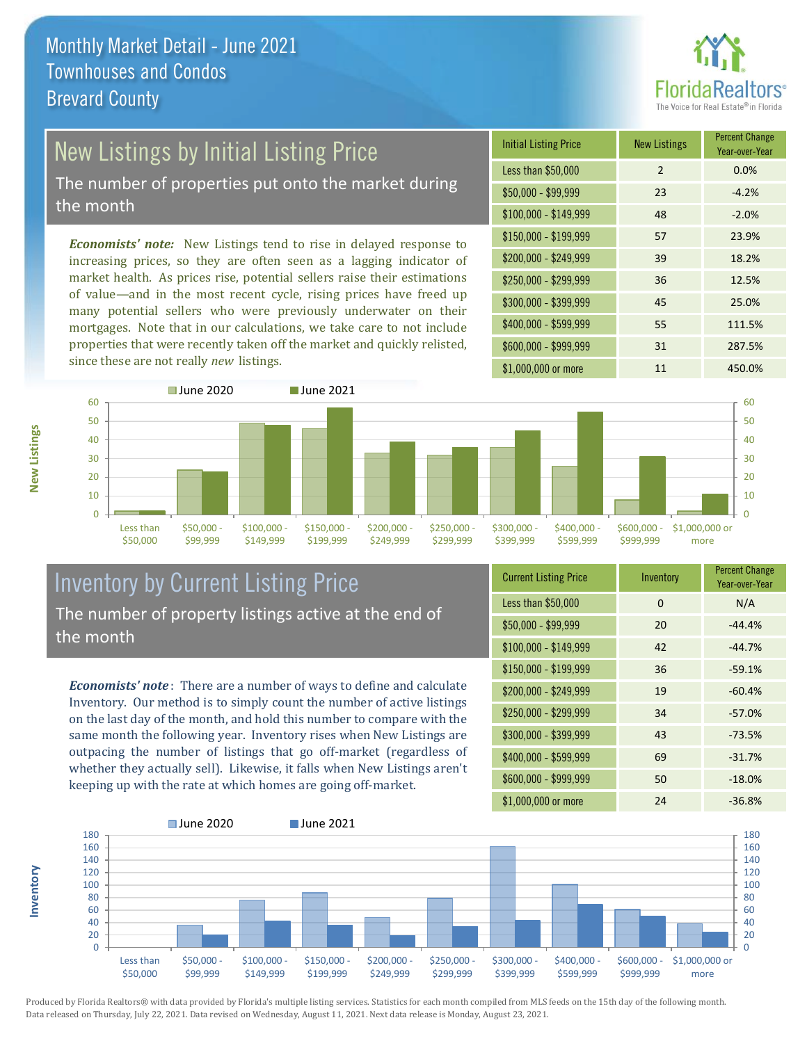

## New Listings by Initial Listing Price

The number of properties put onto the market during the month

*Economists' note:* New Listings tend to rise in delayed response to increasing prices, so they are often seen as a lagging indicator of market health. As prices rise, potential sellers raise their estimations of value—and in the most recent cycle, rising prices have freed up many potential sellers who were previously underwater on their mortgages. Note that in our calculations, we take care to not include properties that were recently taken off the market and quickly relisted, since these are not really *new* listings.





#### Inventory by Current Listing Price The number of property listings active at the end of the month

*Economists' note* : There are a number of ways to define and calculate Inventory. Our method is to simply count the number of active listings on the last day of the month, and hold this number to compare with the same month the following year. Inventory rises when New Listings are outpacing the number of listings that go off-market (regardless of whether they actually sell). Likewise, it falls when New Listings aren't keeping up with the rate at which homes are going off-market.

| <b>Current Listing Price</b> | Inventory | <b>Percent Change</b><br>Year-over-Year |
|------------------------------|-----------|-----------------------------------------|
| Less than \$50,000           | $\Omega$  | N/A                                     |
| $$50,000 - $99,999$          | 20        | $-44.4%$                                |
| $$100,000 - $149,999$        | 42        | $-44.7%$                                |
| \$150,000 - \$199,999        | 36        | $-59.1%$                                |
| \$200,000 - \$249,999        | 19        | $-60.4%$                                |
| \$250,000 - \$299,999        | 34        | $-57.0%$                                |
| \$300,000 - \$399,999        | 43        | $-73.5%$                                |
| \$400,000 - \$599,999        | 69        | $-31.7%$                                |
| \$600,000 - \$999,999        | 50        | $-18.0%$                                |
| \$1,000,000 or more          | 24        | $-36.8%$                                |



Produced by Florida Realtors® with data provided by Florida's multiple listing services. Statistics for each month compiled from MLS feeds on the 15th day of the following month. Data released on Thursday, July 22, 2021. Data revised on Wednesday, August 11, 2021. Next data release is Monday, August 23, 2021.

**Inventory**